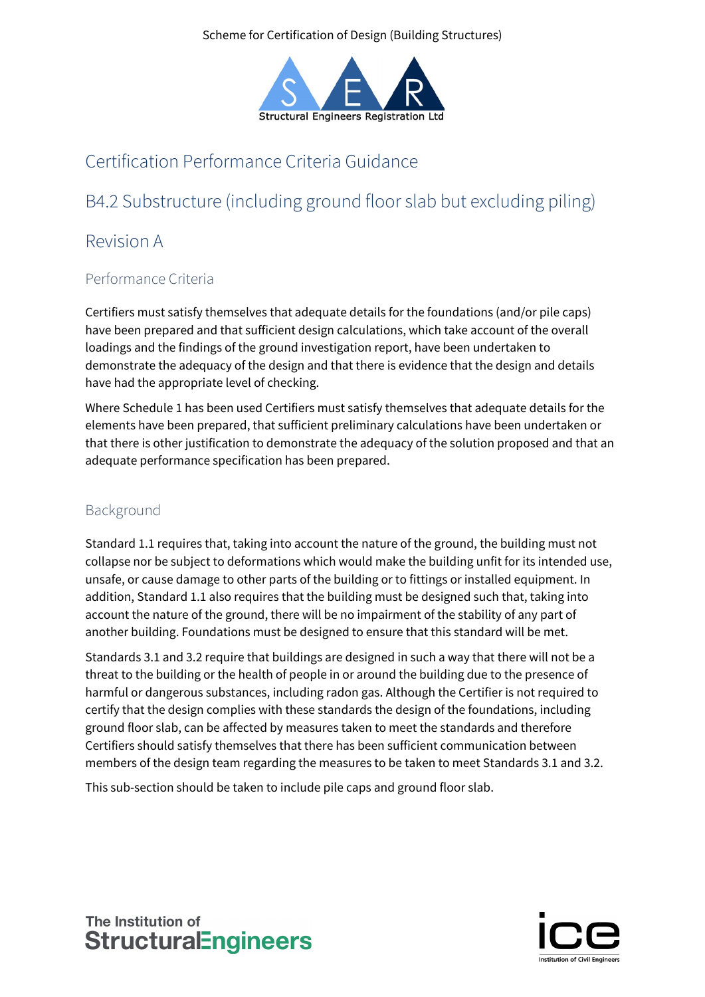Scheme for Certification of Design (Building Structures)



# Certification Performance Criteria Guidance

# B4.2 Substructure (including ground floor slab but excluding piling)

## Revision A

## Performance Criteria

Certifiers must satisfy themselves that adequate details for the foundations (and/or pile caps) have been prepared and that sufficient design calculations, which take account of the overall loadings and the findings of the ground investigation report, have been undertaken to demonstrate the adequacy of the design and that there is evidence that the design and details have had the appropriate level of checking.

Where Schedule 1 has been used Certifiers must satisfy themselves that adequate details for the elements have been prepared, that sufficient preliminary calculations have been undertaken or that there is other justification to demonstrate the adequacy of the solution proposed and that an adequate performance specification has been prepared.

### Background

Standard 1.1 requires that, taking into account the nature of the ground, the building must not collapse nor be subject to deformations which would make the building unfit for its intended use, unsafe, or cause damage to other parts of the building or to fittings or installed equipment. In addition, Standard 1.1 also requires that the building must be designed such that, taking into account the nature of the ground, there will be no impairment of the stability of any part of another building. Foundations must be designed to ensure that this standard will be met.

Standards 3.1 and 3.2 require that buildings are designed in such a way that there will not be a threat to the building or the health of people in or around the building due to the presence of harmful or dangerous substances, including radon gas. Although the Certifier is not required to certify that the design complies with these standards the design of the foundations, including ground floor slab, can be affected by measures taken to meet the standards and therefore Certifiers should satisfy themselves that there has been sufficient communication between members of the design team regarding the measures to be taken to meet Standards 3.1 and 3.2.

This sub-section should be taken to include pile caps and ground floor slab.



## The Institution of **StructuralEngineers**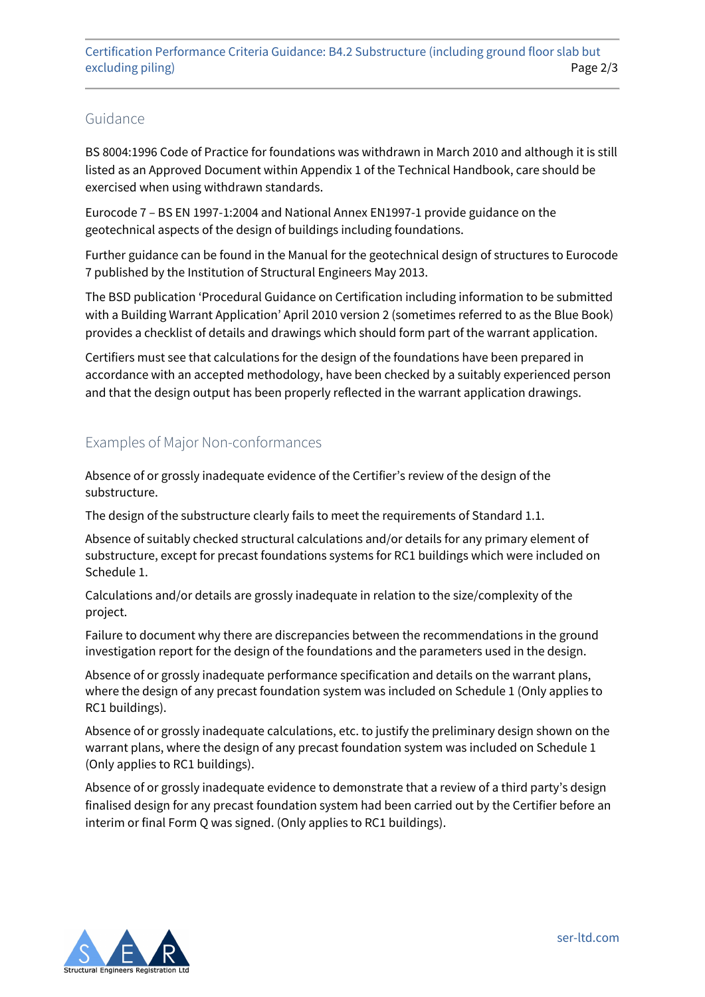#### Guidance

BS 8004:1996 Code of Practice for foundations was withdrawn in March 2010 and although it is still listed as an Approved Document within Appendix 1 of the Technical Handbook, care should be exercised when using withdrawn standards.

Eurocode 7 – BS EN 1997-1:2004 and National Annex EN1997-1 provide guidance on the geotechnical aspects of the design of buildings including foundations.

Further guidance can be found in the Manual for the geotechnical design of structures to Eurocode 7 published by the Institution of Structural Engineers May 2013.

The BSD publication 'Procedural Guidance on Certification including information to be submitted with a Building Warrant Application' April 2010 version 2 (sometimes referred to as the Blue Book) provides a checklist of details and drawings which should form part of the warrant application.

Certifiers must see that calculations for the design of the foundations have been prepared in accordance with an accepted methodology, have been checked by a suitably experienced person and that the design output has been properly reflected in the warrant application drawings.

### Examples of Major Non-conformances

Absence of or grossly inadequate evidence of the Certifier's review of the design of the substructure.

The design of the substructure clearly fails to meet the requirements of Standard 1.1.

Absence of suitably checked structural calculations and/or details for any primary element of substructure, except for precast foundations systems for RC1 buildings which were included on Schedule 1.

Calculations and/or details are grossly inadequate in relation to the size/complexity of the project.

Failure to document why there are discrepancies between the recommendations in the ground investigation report for the design of the foundations and the parameters used in the design.

Absence of or grossly inadequate performance specification and details on the warrant plans, where the design of any precast foundation system was included on Schedule 1 (Only applies to RC1 buildings).

Absence of or grossly inadequate calculations, etc. to justify the preliminary design shown on the warrant plans, where the design of any precast foundation system was included on Schedule 1 (Only applies to RC1 buildings).

Absence of or grossly inadequate evidence to demonstrate that a review of a third party's design finalised design for any precast foundation system had been carried out by the Certifier before an interim or final Form Q was signed. (Only applies to RC1 buildings).